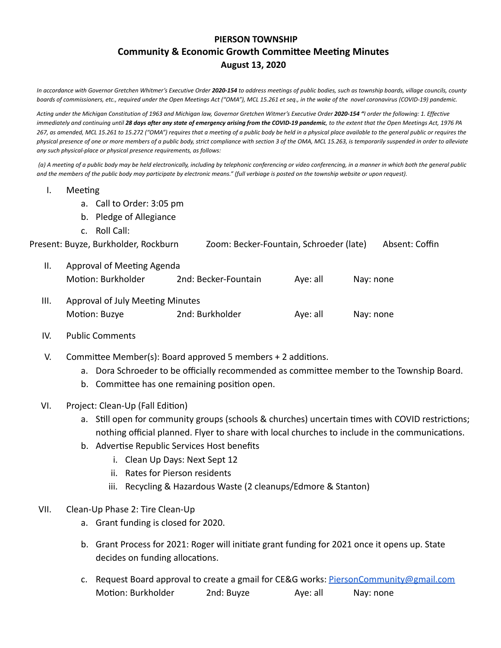## **PIERSON TOWNSHIP Community & Economic Growth Committee Meeting Minutes August 13, 2020**

In accordance with Governor Gretchen Whitmer's Executive Order 2020-154 to address meetings of public bodies, such as township boards, village councils, county boards of commissioners, etc., required under the Open Meetings Act ("OMA"), MCL 15.261 et seq., in the wake of the novel coronavirus (COVID-19) pandemic.

Acting under the Michigan Constitution of 1963 and Michigan law, Governor Gretchen Witmer's Executive Order 2020-154 "I order the following: 1. Effective immediately and continuing until 28 days after any state of emergency arising from the COVID-19 pandemic, to the extent that the Open Meetings Act, 1976 PA 267, as amended, MCL 15.261 to 15.272 ("OMA") requires that a meeting of a public body be held in a physical place available to the general public or requires the physical presence of one or more members of a public body, strict compliance with section 3 of the OMA, MCL 15.263, is temporarily suspended in order to alleviate *any such physical-place or physical presence requirements, as follows:*

(a) A meeting of a public body may be held electronically, including by telephonic conferencing or video conferencing, in a manner in which both the general public and the members of the public body may participate by electronic means." (full verbiage is posted on the township website or upon request).

- I. Meeting
	- a. Call to Order: 3:05 pm
	- b. Pledge of Allegiance
	- c. Roll Call:

| Present: Buyze, Burkholder, Rockburn | Zoom: Becker-Fountain, Schroeder (late) | Absent: Coffin |
|--------------------------------------|-----------------------------------------|----------------|
|                                      |                                         |                |

- II. Approval of Meeting Agenda Motion: Burkholder 2nd: Becker-Fountain Aye: all Nay: none
- III. Approval of July Meeting Minutes Moon: Buzye 2nd: Burkholder Aye: all Nay: none
- IV. Public Comments
- V. Committee Member(s): Board approved 5 members  $+ 2$  additions.
	- a. Dora Schroeder to be officially recommended as committee member to the Township Board.
	- b. Committee has one remaining position open.
- VI. Project: Clean-Up (Fall Edition)
	- a. Still open for community groups (schools & churches) uncertain times with COVID restrictions; nothing official planned. Flyer to share with local churches to include in the communications.
	- b. Advertise Republic Services Host benefits
		- i. Clean Up Days: Next Sept 12
		- ii. Rates for Pierson residents
		- iii. Recycling & Hazardous Waste (2 cleanups/Edmore & Stanton)
- VII. Clean-Up Phase 2: Tire Clean-Up
	- a. Grant funding is closed for 2020.
	- b. Grant Process for 2021: Roger will initiate grant funding for 2021 once it opens up. State decides on funding allocations.
	- c. Request Board approval to create a gmail for CE&G works: [PiersonCommunity@gmail.com](mailto:PiersonCommunity@gmail.com) Motion: Burkholder 2nd: Buyze Aye: all Nay: none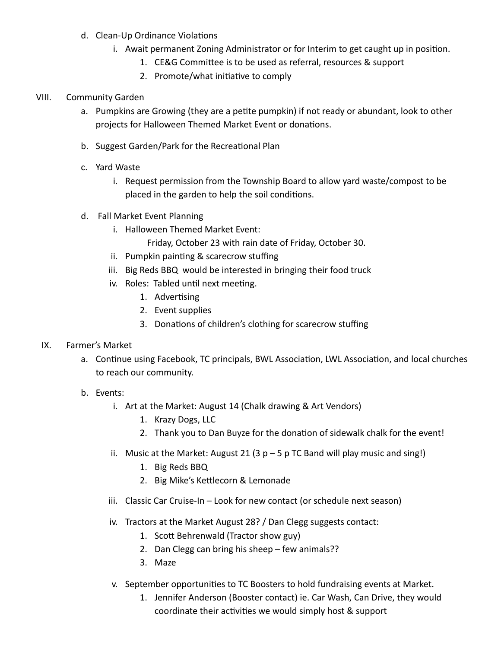- d. Clean-Up Ordinance Violations
	- i. Await permanent Zoning Administrator or for Interim to get caught up in position.
		- 1. CE&G Committee is to be used as referral, resources & support
		- 2. Promote/what initiative to comply

## VIII. Community Garden

- a. Pumpkins are Growing (they are a petite pumpkin) if not ready or abundant, look to other projects for Halloween Themed Market Event or donations.
- b. Suggest Garden/Park for the Recreational Plan
- c. Yard Waste
	- i. Request permission from the Township Board to allow yard waste/compost to be placed in the garden to help the soil conditions.
- d. Fall Market Event Planning
	- i. Halloween Themed Market Event:

Friday, October 23 with rain date of Friday, October 30.

- ii. Pumpkin painting & scarecrow stuffing
- iii. Big Reds BBQ would be interested in bringing their food truck
- iv. Roles: Tabled until next meeting.
	- 1. Advertising
	- 2. Event supplies
	- 3. Donations of children's clothing for scarecrow stuffing

## IX. Farmer's Market

- a. Continue using Facebook, TC principals, BWL Association, LWL Association, and local churches to reach our community.
- b. Events:
	- i. Art at the Market: August 14 (Chalk drawing & Art Vendors)
		- 1. Krazy Dogs, LLC
		- 2. Thank you to Dan Buyze for the donation of sidewalk chalk for the event!
	- ii. Music at the Market: August 21 (3  $p 5 p$  TC Band will play music and sing!)
		- 1. Big Reds BBQ
		- 2. Big Mike's Kettlecorn & Lemonade
	- iii. Classic Car Cruise-In Look for new contact (or schedule next season)
	- iv. Tractors at the Market August 28? / Dan Clegg suggests contact:
		- 1. Scott Behrenwald (Tractor show guy)
		- 2. Dan Clegg can bring his sheep few animals??
		- 3. Maze
	- v. September opportunities to TC Boosters to hold fundraising events at Market.
		- 1. Jennifer Anderson (Booster contact) ie. Car Wash, Can Drive, they would coordinate their activities we would simply host & support